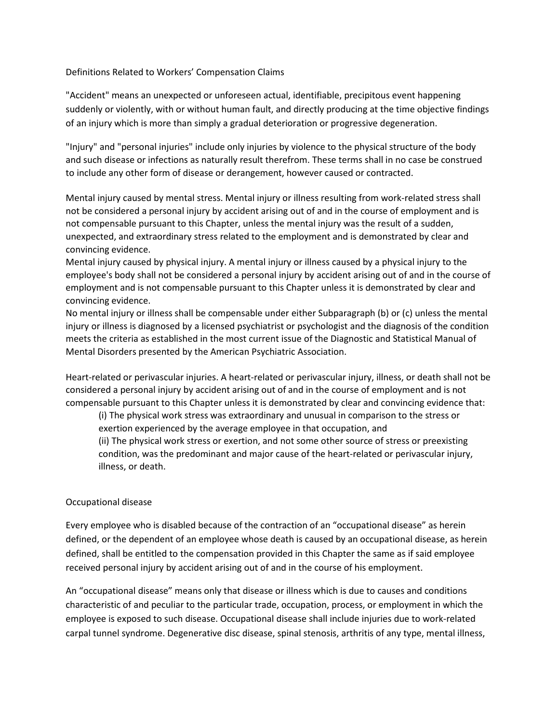## Definitions Related to Workers' Compensation Claims

"Accident" means an unexpected or unforeseen actual, identifiable, precipitous event happening suddenly or violently, with or without human fault, and directly producing at the time objective findings of an injury which is more than simply a gradual deterioration or progressive degeneration.

"Injury" and "personal injuries" include only injuries by violence to the physical structure of the body and such disease or infections as naturally result therefrom. These terms shall in no case be construed to include any other form of disease or derangement, however caused or contracted.

Mental injury caused by mental stress. Mental injury or illness resulting from work-related stress shall not be considered a personal injury by accident arising out of and in the course of employment and is not compensable pursuant to this Chapter, unless the mental injury was the result of a sudden, unexpected, and extraordinary stress related to the employment and is demonstrated by clear and convincing evidence.

Mental injury caused by physical injury. A mental injury or illness caused by a physical injury to the employee's body shall not be considered a personal injury by accident arising out of and in the course of employment and is not compensable pursuant to this Chapter unless it is demonstrated by clear and convincing evidence.

No mental injury or illness shall be compensable under either Subparagraph (b) or (c) unless the mental injury or illness is diagnosed by a licensed psychiatrist or psychologist and the diagnosis of the condition meets the criteria as established in the most current issue of the Diagnostic and Statistical Manual of Mental Disorders presented by the American Psychiatric Association.

Heart-related or perivascular injuries. A heart-related or perivascular injury, illness, or death shall not be considered a personal injury by accident arising out of and in the course of employment and is not compensable pursuant to this Chapter unless it is demonstrated by clear and convincing evidence that:

(i) The physical work stress was extraordinary and unusual in comparison to the stress or exertion experienced by the average employee in that occupation, and (ii) The physical work stress or exertion, and not some other source of stress or preexisting condition, was the predominant and major cause of the heart-related or perivascular injury, illness, or death.

## Occupational disease

Every employee who is disabled because of the contraction of an "occupational disease" as herein defined, or the dependent of an employee whose death is caused by an occupational disease, as herein defined, shall be entitled to the compensation provided in this Chapter the same as if said employee received personal injury by accident arising out of and in the course of his employment.

An "occupational disease" means only that disease or illness which is due to causes and conditions characteristic of and peculiar to the particular trade, occupation, process, or employment in which the employee is exposed to such disease. Occupational disease shall include injuries due to work-related carpal tunnel syndrome. Degenerative disc disease, spinal stenosis, arthritis of any type, mental illness,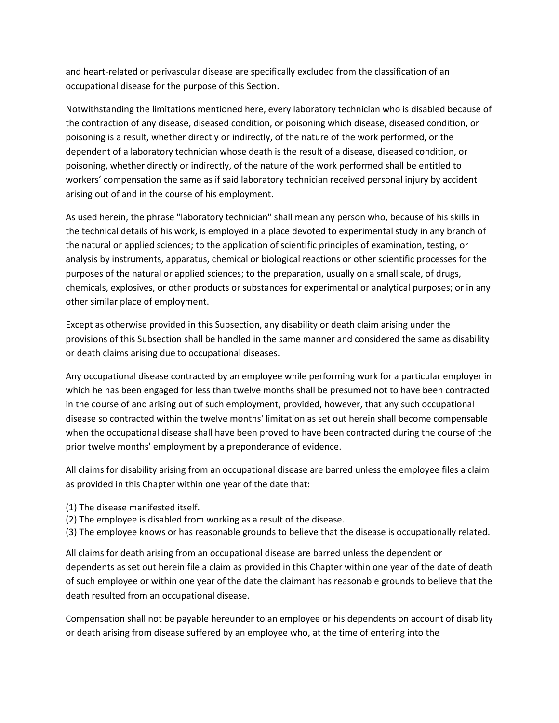and heart-related or perivascular disease are specifically excluded from the classification of an occupational disease for the purpose of this Section.

Notwithstanding the limitations mentioned here, every laboratory technician who is disabled because of the contraction of any disease, diseased condition, or poisoning which disease, diseased condition, or poisoning is a result, whether directly or indirectly, of the nature of the work performed, or the dependent of a laboratory technician whose death is the result of a disease, diseased condition, or poisoning, whether directly or indirectly, of the nature of the work performed shall be entitled to workers' compensation the same as if said laboratory technician received personal injury by accident arising out of and in the course of his employment.

As used herein, the phrase "laboratory technician" shall mean any person who, because of his skills in the technical details of his work, is employed in a place devoted to experimental study in any branch of the natural or applied sciences; to the application of scientific principles of examination, testing, or analysis by instruments, apparatus, chemical or biological reactions or other scientific processes for the purposes of the natural or applied sciences; to the preparation, usually on a small scale, of drugs, chemicals, explosives, or other products or substances for experimental or analytical purposes; or in any other similar place of employment.

Except as otherwise provided in this Subsection, any disability or death claim arising under the provisions of this Subsection shall be handled in the same manner and considered the same as disability or death claims arising due to occupational diseases.

Any occupational disease contracted by an employee while performing work for a particular employer in which he has been engaged for less than twelve months shall be presumed not to have been contracted in the course of and arising out of such employment, provided, however, that any such occupational disease so contracted within the twelve months' limitation as set out herein shall become compensable when the occupational disease shall have been proved to have been contracted during the course of the prior twelve months' employment by a preponderance of evidence.

All claims for disability arising from an occupational disease are barred unless the employee files a claim as provided in this Chapter within one year of the date that:

- (1) The disease manifested itself.
- (2) The employee is disabled from working as a result of the disease.
- (3) The employee knows or has reasonable grounds to believe that the disease is occupationally related.

All claims for death arising from an occupational disease are barred unless the dependent or dependents as set out herein file a claim as provided in this Chapter within one year of the date of death of such employee or within one year of the date the claimant has reasonable grounds to believe that the death resulted from an occupational disease.

Compensation shall not be payable hereunder to an employee or his dependents on account of disability or death arising from disease suffered by an employee who, at the time of entering into the